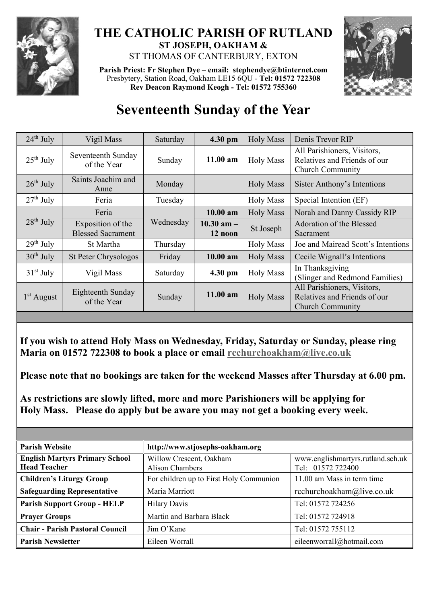

## **THE CATHOLIC PARISH OF RUTLAND ST JOSEPH, OAKHAM &**  ST THOMAS OF CANTERBURY, EXTON

**Parish Priest: Fr Stephen Dye** – **[email: stephendye@btinternet.com](mailto:email:%20%20stephendye@btinternet.com)** Presbytery, Station Road, Oakham LE15 6QU - **Tel: 01572 722308 Rev Deacon Raymond Keogh - Tel: 01572 755360**



## **Seventeenth Sunday of the Year**

| $24th$ July  | Vigil Mass                                    | Saturday  | 4.30 pm                   | <b>Holy Mass</b> | Denis Trevor RIP                                                                       |
|--------------|-----------------------------------------------|-----------|---------------------------|------------------|----------------------------------------------------------------------------------------|
| $25th$ July  | Seventeenth Sunday<br>of the Year             | Sunday    | $11.00$ am                | <b>Holy Mass</b> | All Parishioners, Visitors,<br>Relatives and Friends of our<br><b>Church Community</b> |
| $26th$ July  | Saints Joachim and<br>Anne                    | Monday    |                           | <b>Holy Mass</b> | Sister Anthony's Intentions                                                            |
| $27th$ July  | Feria                                         | Tuesday   |                           | <b>Holy Mass</b> | Special Intention (EF)                                                                 |
| $28th$ July  | Feria                                         | Wednesday | $10.00$ am                | <b>Holy Mass</b> | Norah and Danny Cassidy RIP                                                            |
|              | Exposition of the<br><b>Blessed Sacrament</b> |           | $10.30$ am $-$<br>12 noon | St Joseph        | Adoration of the Blessed<br>Sacrament                                                  |
| $29th$ July  | St Martha                                     | Thursday  |                           | <b>Holy Mass</b> | Joe and Mairead Scott's Intentions                                                     |
| $30th$ July  | <b>St Peter Chrysologos</b>                   | Friday    | $10.00$ am                | <b>Holy Mass</b> | Cecile Wignall's Intentions                                                            |
| $31st$ July  | Vigil Mass                                    | Saturday  | 4.30 pm                   | <b>Holy Mass</b> | In Thanksgiving<br>(Slinger and Redmond Families)                                      |
| $1st$ August | Eighteenth Sunday<br>of the Year              | Sunday    | 11.00 am                  | <b>Holy Mass</b> | All Parishioners, Visitors,<br>Relatives and Friends of our<br><b>Church Community</b> |

**If you wish to attend Holy Mass on Wednesday, Friday, Saturday or Sunday, please ring Maria on 01572 722308 to book a place or email [rcchurchoakham@live.co.uk](mailto:rcchurchoakham@live.co.uk)**

**Please note that no bookings are taken for the weekend Masses after Thursday at 6.00 pm.**

**As restrictions are slowly lifted, more and more Parishioners will be applying for Holy Mass. Please do apply but be aware you may not get a booking every week.**

| <b>Parish Website</b>                                        | http://www.stjosephs-oakham.org                   |                                                        |  |  |
|--------------------------------------------------------------|---------------------------------------------------|--------------------------------------------------------|--|--|
| <b>English Martyrs Primary School</b><br><b>Head Teacher</b> | Willow Crescent, Oakham<br><b>Alison Chambers</b> | www.englishmartyrs.rutland.sch.uk<br>Tel: 01572 722400 |  |  |
| <b>Children's Liturgy Group</b>                              | For children up to First Holy Communion           | 11.00 am Mass in term time                             |  |  |
| <b>Safeguarding Representative</b>                           | Maria Marriott                                    | rcchurchoakham@live.co.uk                              |  |  |
| <b>Parish Support Group - HELP</b>                           | <b>Hilary Davis</b>                               | Tel: 01572 724256                                      |  |  |
| <b>Prayer Groups</b>                                         | Martin and Barbara Black                          | Tel: 01572 724918                                      |  |  |
| <b>Chair - Parish Pastoral Council</b>                       | $\lim$ O'Kane                                     | Tel: 01572 755112                                      |  |  |
| <b>Parish Newsletter</b>                                     | Eileen Worrall                                    | eileenworrall@hotmail.com                              |  |  |